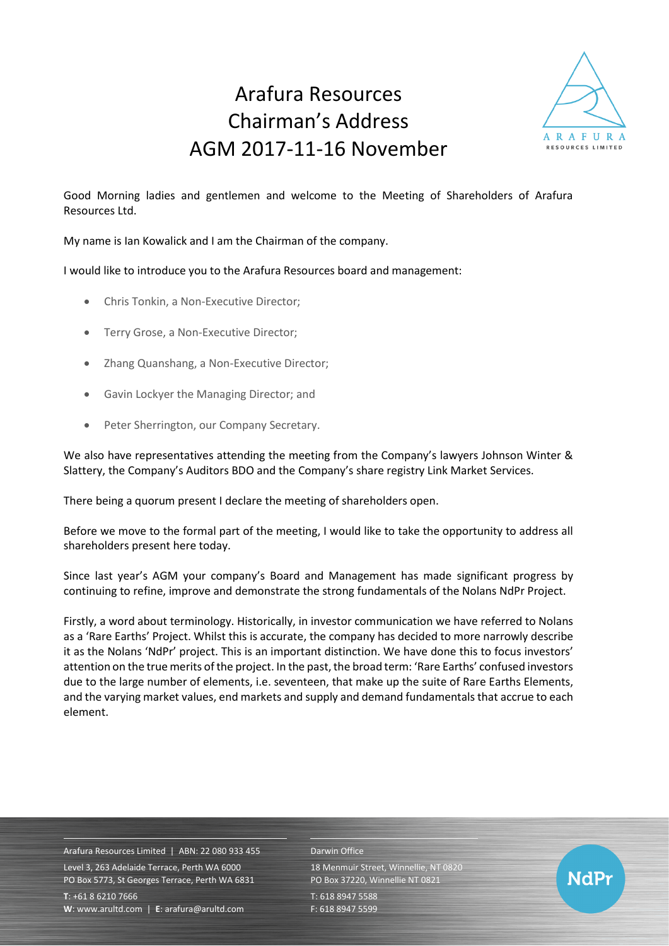## Arafura Resources Chairman's Address AGM 2017-11-16 November



Good Morning ladies and gentlemen and welcome to the Meeting of Shareholders of Arafura Resources Ltd.

My name is Ian Kowalick and I am the Chairman of the company.

I would like to introduce you to the Arafura Resources board and management:

- Chris Tonkin, a Non-Executive Director;
- Terry Grose, a Non-Executive Director;
- Zhang Quanshang, a Non-Executive Director;
- Gavin Lockyer the Managing Director; and
- Peter Sherrington, our Company Secretary.

We also have representatives attending the meeting from the Company's lawyers Johnson Winter & Slattery, the Company's Auditors BDO and the Company's share registry Link Market Services.

There being a quorum present I declare the meeting of shareholders open.

Before we move to the formal part of the meeting, I would like to take the opportunity to address all shareholders present here today.

Since last year's AGM your company's Board and Management has made significant progress by continuing to refine, improve and demonstrate the strong fundamentals of the Nolans NdPr Project.

Firstly, a word about terminology. Historically, in investor communication we have referred to Nolans as a 'Rare Earths' Project. Whilst this is accurate, the company has decided to more narrowly describe it as the Nolans 'NdPr' project. This is an important distinction. We have done this to focus investors' attention on the true merits of the project. In the past, the broad term: 'Rare Earths' confused investors due to the large number of elements, i.e. seventeen, that make up the suite of Rare Earths Elements, and the varying market values, end markets and supply and demand fundamentals that accrue to each element.

Arafura Resources Limited | ABN: 22 080 933 455 Level 3, 263 Adelaide Terrace, Perth WA 6000 PO Box 5773, St Georges Terrace, Perth WA 6831 **T**: +61 8 6210 7666

**W**: [www.arultd.com](http://www.arultd.com/) | **E**[: arafura@arultd.com](mailto:arafura@arultd.com)

## Darwin Office

18 Menmuir Street, Winnellie, NT 0820 PO Box 37220, Winnellie NT 0821 T: 618 8947 5588

F: 618 8947 5599

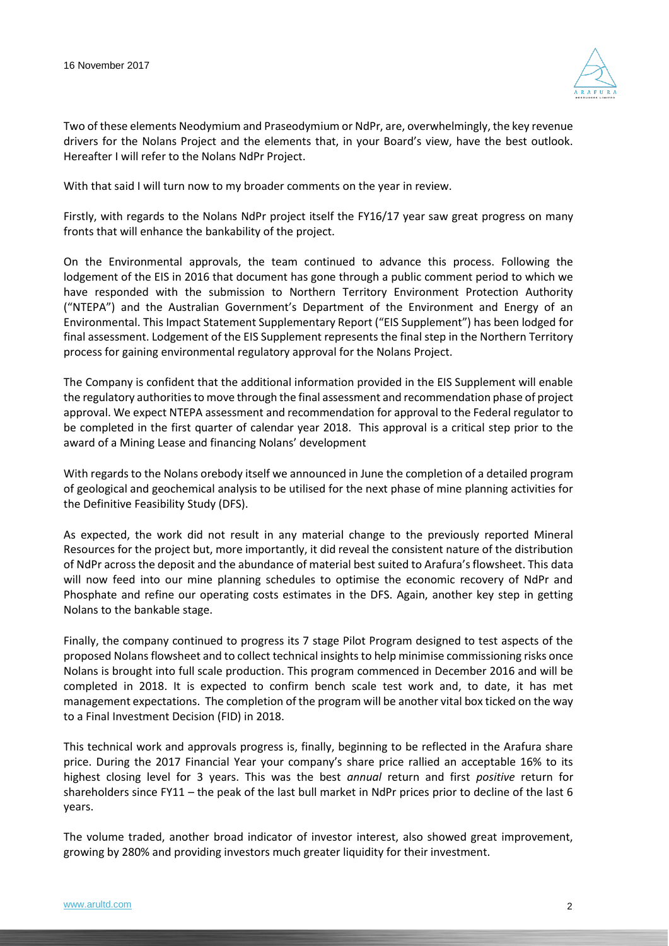

Two of these elements Neodymium and Praseodymium or NdPr, are, overwhelmingly, the key revenue drivers for the Nolans Project and the elements that, in your Board's view, have the best outlook. Hereafter I will refer to the Nolans NdPr Project.

With that said I will turn now to my broader comments on the year in review.

Firstly, with regards to the Nolans NdPr project itself the FY16/17 year saw great progress on many fronts that will enhance the bankability of the project.

On the Environmental approvals, the team continued to advance this process. Following the lodgement of the EIS in 2016 that document has gone through a public comment period to which we have responded with the submission to Northern Territory Environment Protection Authority ("NTEPA") and the Australian Government's Department of the Environment and Energy of an Environmental. This Impact Statement Supplementary Report ("EIS Supplement") has been lodged for final assessment. Lodgement of the EIS Supplement represents the final step in the Northern Territory process for gaining environmental regulatory approval for the Nolans Project.

The Company is confident that the additional information provided in the EIS Supplement will enable the regulatory authorities to move through the final assessment and recommendation phase of project approval. We expect NTEPA assessment and recommendation for approval to the Federal regulator to be completed in the first quarter of calendar year 2018. This approval is a critical step prior to the award of a Mining Lease and financing Nolans' development

With regards to the Nolans orebody itself we announced in June the completion of a detailed program of geological and geochemical analysis to be utilised for the next phase of mine planning activities for the Definitive Feasibility Study (DFS).

As expected, the work did not result in any material change to the previously reported Mineral Resources for the project but, more importantly, it did reveal the consistent nature of the distribution of NdPr across the deposit and the abundance of material best suited to Arafura's flowsheet. This data will now feed into our mine planning schedules to optimise the economic recovery of NdPr and Phosphate and refine our operating costs estimates in the DFS. Again, another key step in getting Nolans to the bankable stage.

Finally, the company continued to progress its 7 stage Pilot Program designed to test aspects of the proposed Nolans flowsheet and to collect technical insights to help minimise commissioning risks once Nolans is brought into full scale production. This program commenced in December 2016 and will be completed in 2018. It is expected to confirm bench scale test work and, to date, it has met management expectations. The completion of the program will be another vital box ticked on the way to a Final Investment Decision (FID) in 2018.

This technical work and approvals progress is, finally, beginning to be reflected in the Arafura share price. During the 2017 Financial Year your company's share price rallied an acceptable 16% to its highest closing level for 3 years. This was the best *annual* return and first *positive* return for shareholders since FY11 – the peak of the last bull market in NdPr prices prior to decline of the last 6 years.

The volume traded, another broad indicator of investor interest, also showed great improvement, growing by 280% and providing investors much greater liquidity for their investment.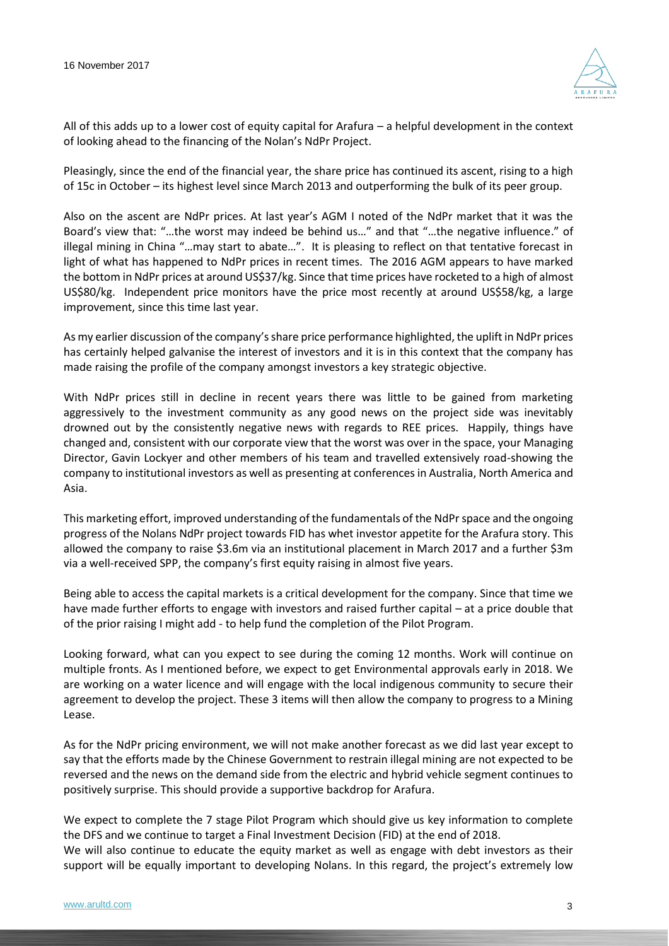

All of this adds up to a lower cost of equity capital for Arafura – a helpful development in the context of looking ahead to the financing of the Nolan's NdPr Project.

Pleasingly, since the end of the financial year, the share price has continued its ascent, rising to a high of 15c in October – its highest level since March 2013 and outperforming the bulk of its peer group.

Also on the ascent are NdPr prices. At last year's AGM I noted of the NdPr market that it was the Board's view that: "…the worst may indeed be behind us…" and that "…the negative influence." of illegal mining in China "…may start to abate…". It is pleasing to reflect on that tentative forecast in light of what has happened to NdPr prices in recent times. The 2016 AGM appears to have marked the bottom in NdPr prices at around US\$37/kg. Since that time prices have rocketed to a high of almost US\$80/kg. Independent price monitors have the price most recently at around US\$58/kg, a large improvement, since this time last year.

As my earlier discussion of the company's share price performance highlighted, the uplift in NdPr prices has certainly helped galvanise the interest of investors and it is in this context that the company has made raising the profile of the company amongst investors a key strategic objective.

With NdPr prices still in decline in recent years there was little to be gained from marketing aggressively to the investment community as any good news on the project side was inevitably drowned out by the consistently negative news with regards to REE prices. Happily, things have changed and, consistent with our corporate view that the worst was over in the space, your Managing Director, Gavin Lockyer and other members of his team and travelled extensively road-showing the company to institutional investors as well as presenting at conferences in Australia, North America and Asia.

This marketing effort, improved understanding of the fundamentals of the NdPr space and the ongoing progress of the Nolans NdPr project towards FID has whet investor appetite for the Arafura story. This allowed the company to raise \$3.6m via an institutional placement in March 2017 and a further \$3m via a well-received SPP, the company's first equity raising in almost five years.

Being able to access the capital markets is a critical development for the company. Since that time we have made further efforts to engage with investors and raised further capital – at a price double that of the prior raising I might add - to help fund the completion of the Pilot Program.

Looking forward, what can you expect to see during the coming 12 months. Work will continue on multiple fronts. As I mentioned before, we expect to get Environmental approvals early in 2018. We are working on a water licence and will engage with the local indigenous community to secure their agreement to develop the project. These 3 items will then allow the company to progress to a Mining Lease.

As for the NdPr pricing environment, we will not make another forecast as we did last year except to say that the efforts made by the Chinese Government to restrain illegal mining are not expected to be reversed and the news on the demand side from the electric and hybrid vehicle segment continues to positively surprise. This should provide a supportive backdrop for Arafura.

We expect to complete the 7 stage Pilot Program which should give us key information to complete the DFS and we continue to target a Final Investment Decision (FID) at the end of 2018. We will also continue to educate the equity market as well as engage with debt investors as their support will be equally important to developing Nolans. In this regard, the project's extremely low